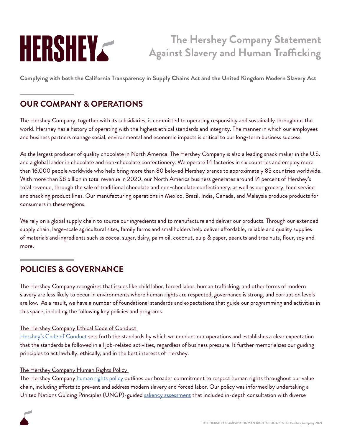# HERSHEY

## **The Hershey Company Statement Against Slavery and Human Trafficking**

**Complying with both the California Transparency in Supply Chains Act and the United Kingdom Modern Slavery Act**

## **OUR COMPANY & OPERATIONS**

The Hershey Company, together with its subsidiaries, is committed to operating responsibly and sustainably throughout the world. Hershey has a history of operating with the highest ethical standards and integrity. The manner in which our employees and business partners manage social, environmental and economic impacts is critical to our long-term business success.

As the largest producer of quality chocolate in North America, The Hershey Company is also a leading snack maker in the U.S. and a global leader in chocolate and non-chocolate confectionery. We operate 14 factories in six countries and employ more than 16,000 people worldwide who help bring more than 80 beloved Hershey brands to approximately 85 countries worldwide. With more than \$8 billion in total revenue in 2020, our North America business generates around 91 percent of Hershey's total revenue, through the sale of traditional chocolate and non-chocolate confectionery, as well as our grocery, food service and snacking product lines. Our manufacturing operations in Mexico, Brazil, India, Canada, and Malaysia produce products for consumers in these regions.

We rely on a global supply chain to source our ingredients and to manufacture and deliver our products. Through our extended supply chain, large-scale agricultural sites, family farms and smallholders help deliver affordable, reliable and quality supplies of materials and ingredients such as cocoa, sugar, dairy, palm oil, coconut, pulp & paper, peanuts and tree nuts, flour, soy and more.

## **POLICIES & GOVERNANCE**

The Hershey Company recognizes that issues like child labor, forced labor, human trafficking, and other forms of modern slavery are less likely to occur in environments where human rights are respected, governance is strong, and corruption levels are low. As a result, we have a number of foundational standards and expectations that guide our programming and activities in this space, including the following key policies and programs.

#### The Hershey Company Ethical Code of Conduct

[Hershey's Code of Conduct](https://www.thehersheycompany.com/content/dam/corporate-us/documents/investors/code-of-conduct.pdf) sets forth the standards by which we conduct our operations and establishes a clear expectation that the standards be followed in all job-related activities, regardless of business pressure. It further memorializes our guiding principles to act lawfully, ethically, and in the best interests of Hershey.

#### The Hershey Company Human Rights Policy

The Hershey Company [human rights policy](https://www.thehersheycompany.com/en_us/sustainability/shared-business/human-rights.html) outlines our broader commitment to respect human rights throughout our value chain, including efforts to prevent and address modern slavery and forced labor. Our policy was informed by undertaking a United Nations Guiding Principles (UNGP)-guided [saliency assessment](https://www.thehersheycompany.com/en_us/sustainability/shared-business/human-rights.html#human-rights-assessment) that included in-depth consultation with diverse

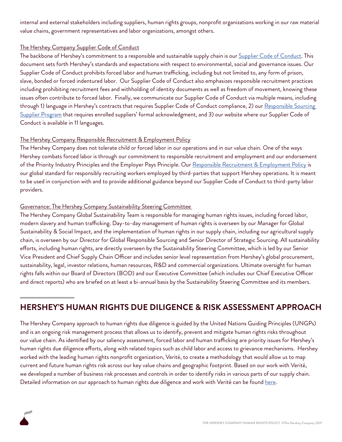internal and external stakeholders including suppliers, human rights groups, nonprofit organizations working in our raw material value chains, government representatives and labor organizations, amongst others.

#### The Hershey Company Supplier Code of Conduct

The backbone of Hershey's commitment to a responsible and sustainable supply chain is our [Supplier Code of Conduct.](https://www.thehersheycompany.com/content/dam/corporate-us/documents/partners-and-suppliers/supplier-code-of-conduct.pdf) This document sets forth Hershey's standards and expectations with respect to environmental, social and governance issues. Our Supplier Code of Conduct prohibits forced labor and human trafficking, including but not limited to, any form of prison, slave, bonded or forced indentured labor. Our Supplier Code of Conduct also emphasizes responsible recruitment practices including prohibiting recruitment fees and withholding of identity documents as well as freedom of movement, knowing these issues often contribute to forced labor. Finally, we communicate our Supplier Code of Conduct via multiple means, including through 1) language in Hershey's contracts that requires Supplier Code of Conduct compliance, 2) our Responsible Sourcing [Supplier Program](https://www.thehersheycompany.com/en_us/sustainability/shared-business/responsible-sourcing/responsible-sourcing-supplier-program.html) that requires enrolled suppliers' formal acknowledgment, and 3) our website where our Supplier Code of Conduct is available in 11 languages.

#### The Hershey Company Responsible Recruitment & Employment Policy

The Hershey Company does not tolerate child or forced labor in our operations and in our value chain. One of the ways Hershey combats forced labor is through our commitment to responsible recruitment and employment and our endorsement of the Priority Industry Principles and the Employer Pays Principle. Our [Responsible Recruitment & Employment Policy](https://www.thehersheycompany.com/content/dam/corporate-us/documents/pdf/HSY_Ethical_recruitment_policy_2020.pdf) is our global standard for responsibly recruiting workers employed by third-parties that support Hershey operations. It is meant to be used in conjunction with and to provide additional guidance beyond our Supplier Code of Conduct to third-party labor providers.

#### Governance: The Hershey Company Sustainability Steering Committee

The Hershey Company Global Sustainability Team is responsible for managing human rights issues, including forced labor, modern slavery and human trafficking. Day-to-day management of human rights is overseen by our Manager for Global Sustainability & Social Impact, and the implementation of human rights in our supply chain, including our agricultural supply chain, is overseen by our Director for Global Responsible Sourcing and Senior Director of Strategic Sourcing. All sustainability efforts, including human rights, are directly overseen by the Sustainability Steering Committee, which is led by our Senior Vice President and Chief Supply Chain Officer and includes senior level representation from Hershey's global procurement, sustainability, legal, investor relations, human resources, R&D and commercial organizations. Ultimate oversight for human rights falls within our Board of Directors (BOD) and our Executive Committee (which includes our Chief Executive Officer and direct reports) who are briefed on at least a bi-annual basis by the Sustainability Steering Committee and its members.

## **HERSHEY'S HUMAN RIGHTS DUE DILIGENCE & RISK ASSESSMENT APPROACH**

The Hershey Company approach to human rights due diligence is guided by the United Nations Guiding Principles (UNGPs) and is an ongoing risk management process that allows us to identify, prevent and mitigate human rights risks throughout our value chain. As identified by our saliency assessment, forced labor and human trafficking are priority issues for Hershey's human rights due diligence efforts, along with related topics such as child labor and access to grievance mechanisms. Hershey worked with the leading human rights nonprofit organization, Verité, to create a methodology that would allow us to map current and future human rights risk across our key value chains and geographic footprint. Based on our work with Verité, we developed a number of business risk processes and controls in order to identify risks in various parts of our supply chain. Detailed information on our approach to human rights due diligence and work with Verité can be found [here.](https://www.thehersheycompany.com/en_us/sustainability/shared-business/human-rights/human-rights-due-diligence.html)

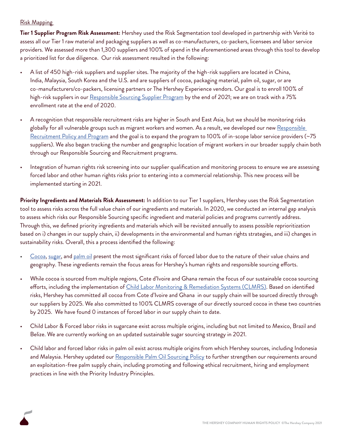#### Risk Mapping

**Tier 1 Supplier Program Risk Assessment:** Hershey used the Risk Segmentation tool developed in partnership with Verité to assess all our Tier 1 raw material and packaging suppliers as well as co-manufacturers, co-packers, licensees and labor service providers. We assessed more than 1,300 suppliers and 100% of spend in the aforementioned areas through this tool to develop a prioritized list for due diligence. Our risk assessment resulted in the following:

- A list of 450 high-risk suppliers and supplier sites. The majority of the high-risk suppliers are located in China, India, Malaysia, South Korea and the U.S. and are suppliers of cocoa, packaging material, palm oil, sugar, or are co-manufacturers/co-packers, licensing partners or The Hershey Experience vendors. Our goal is to enroll 100% of high-risk suppliers in our [Responsible Sourcing Supplier Program](https://www.thehersheycompany.com/en_us/sustainability/shared-business/responsible-sourcing/responsible-sourcing-supplier-program.html) by the end of 2021; we are on track with a 75% enrollment rate at the end of 2020.
- A recognition that responsible recruitment risks are higher in South and East Asia, but we should be monitoring risks globally for all vulnerable groups such as migrant workers and women. As a result, we developed our new Responsible [Recruitment Policy and Program](https://www.thehersheycompany.com/en_us/sustainability/shared-business/human-rights/embedding-responsible-recruitment-employment.html) and the goal is to expand the program to 100% of in-scope labor service providers (~75 suppliers). We also began tracking the number and geographic location of migrant workers in our broader supply chain both through our Responsible Sourcing and Recruitment programs.
- Integration of human rights risk screening into our supplier qualification and monitoring process to ensure we are assessing forced labor and other human rights risks prior to entering into a commercial relationship. This new process will be implemented starting in 2021.

**Priority Ingredients and Materials Risk Assessment:** In addition to our Tier 1 suppliers, Hershey uses the Risk Segmentation tool to assess risks across the full value chain of our ingredients and materials. In 2020, we conducted an internal gap analysis to assess which risks our Responsible Sourcing specific ingredient and material policies and programs currently address. Through this, we defined priority ingredients and materials which will be revisited annually to assess possible reprioritization based on i) changes in our supply chain, ii) developments in the environmental and human rights strategies, and iii) changes in sustainability risks. Overall, this a process identified the following:

- [Cocoa,](https://www.thehersheycompany.com/en_us/sustainability/shared-business/responsible-sourcing/priority-ingredients-and-materials/cocoa.html) [sugar](https://www.thehersheycompany.com/en_us/sustainability/shared-business/responsible-sourcing/priority-ingredients-and-materials/sugar.html), and [palm oil](https://www.thehersheycompany.com/en_us/sustainability/shared-business/responsible-sourcing/priority-ingredients-and-materials/palm-oil.html) present the most significant risks of forced labor due to the nature of their value chains and geography. These ingredients remain the focus areas for Hershey's human rights and responsible sourcing efforts.
- While cocoa is sourced from multiple regions, Cote d'Ivoire and Ghana remain the focus of our sustainable cocoa sourcing efforts, including the implementation of *Child Labor Monitoring & Remediation Systems (CLMRS)*. Based on identified risks, Hershey has committed all cocoa from Cote d'Ivoire and Ghana in our supply chain will be sourced directly through our suppliers by 2025. We also committed to 100% CLMRS coverage of our directly sourced cocoa in these two countries by 2025. We have found 0 instances of forced labor in our supply chain to date.
- Child Labor & Forced labor risks in sugarcane exist across multiple origins, including but not limited to Mexico, Brazil and Belize. We are currently working on an updated sustainable sugar sourcing strategy in 2021.
- Child labor and forced labor risks in palm oil exist across multiple origins from which Hershey sources, including Indonesia and Malaysia. Hershey updated our [Responsible Palm Oil Sourcing Policy](https://www.thehersheycompany.com/content/dam/corporate-us/documents/legal/palm-sourcing-policy.pdf) to further strengthen our requirements around an exploitation-free palm supply chain, including promoting and following ethical recruitment, hiring and employment practices in line with the Priority Industry Principles.

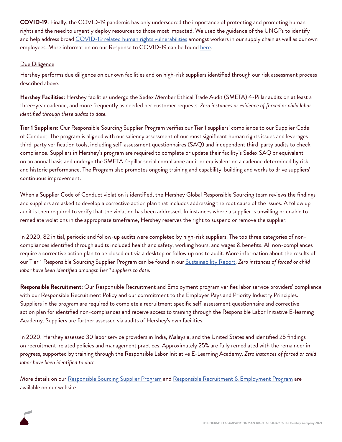**COVID-19:** Finally, the COVID-19 pandemic has only underscored the importance of protecting and promoting human rights and the need to urgently deploy resources to those most impacted. We used the guidance of the UNGPs to identify and help address broad [COVID-19 related human rights vulnerabilities](https://www.thehersheycompany.com/content/corporate_SSF/en_us/blog/human-rights-a-year-of-challenges-progress-and-more-work-to-do.html?utm_source=newsletter&utm_medium=email&utm_campaign=IR) amongst workers in our supply chain as well as our own employees. More information on our Response to COVID-19 can be found [here.](https://www.thehersheycompany.com/en_us/sustainability/shared-communities/our-response-to-covid-19.html)

#### Due Diligence

Hershey performs due diligence on our own facilities and on high-risk suppliers identified through our risk assessment process described above.

**Hershey Facilities:** Hershey facilities undergo the Sedex Member Ethical Trade Audit (SMETA) 4-Pillar audits on at least a three-year cadence, and more frequently as needed per customer requests. *Zero instances or evidence of forced or child labor identified through these audits to date.* 

**Tier 1 Suppliers:** Our Responsible Sourcing Supplier Program verifies our Tier 1 suppliers' compliance to our Supplier Code of Conduct. The program is aligned with our saliency assessment of our most significant human rights issues and leverages third-party verification tools, including self-assessment questionnaires (SAQ) and independent third-party audits to check compliance. Suppliers in Hershey's program are required to complete or update their facility's Sedex SAQ or equivalent on an annual basis and undergo the SMETA 4-pillar social compliance audit or equivalent on a cadence determined by risk and historic performance. The Program also promotes ongoing training and capability-building and works to drive suppliers' continuous improvement.

When a Supplier Code of Conduct violation is identified, the Hershey Global Responsible Sourcing team reviews the findings and suppliers are asked to develop a corrective action plan that includes addressing the root cause of the issues. A follow up audit is then required to verify that the violation has been addressed. In instances where a supplier is unwilling or unable to remediate violations in the appropriate timeframe, Hershey reserves the right to suspend or remove the supplier.

In 2020, 82 initial, periodic and follow-up audits were completed by high-risk suppliers. The top three categories of noncompliances identified through audits included health and safety, working hours, and wages & benefits. All non-compliances require a corrective action plan to be closed out via a desktop or follow up onsite audit. More information about the results of our Tier 1 Responsible Sourcing Supplier Program can be found in our [Sustainability Report.](https://www.thehersheycompany.com/content/dam/corporate-us/documents/pdf/hershey_sustainability_report_2019.pdf) *Zero instances of forced or child labor have been identified amongst Tier 1 suppliers to date.*

**Responsible Recruitment:** Our Responsible Recruitment and Employment program verifies labor service providers' compliance with our Responsible Recruitment Policy and our commitment to the Employer Pays and Priority Industry Principles. Suppliers in the program are required to complete a recruitment specific self-assessment questionnaire and corrective action plan for identified non-compliances and receive access to training through the Responsible Labor Initiative E-learning Academy. Suppliers are further assessed via audits of Hershey's own facilities.

In 2020, Hershey assessed 30 labor service providers in India, Malaysia, and the United States and identified 25 findings on recruitment-related policies and management practices. Approximately 25% are fully remediated with the remainder in progress, supported by training through the Responsible Labor Initiative E-Learning Academy. *Zero instances of forced or child labor have been identified to date.*

More details on our [Responsible Sourcing Supplier Program](https://www.thehersheycompany.com/en_us/sustainability/shared-business/responsible-sourcing/responsible-sourcing-supplier-program.html) and [Responsible Recruitment & Employment Program](https://www.thehersheycompany.com/en_us/sustainability/shared-business/human-rights/embedding-responsible-recruitment-employment.html) are available on our website.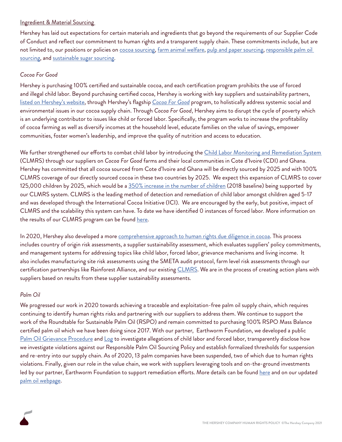#### Ingredient & Material Sourcing

Hershey has laid out expectations for certain materials and ingredients that go beyond the requirements of our Supplier Code of Conduct and reflect our commitment to human rights and a transparent supply chain. These commitments include, but are not limited to, our positions or policies on [cocoa sourcing](https://www.thehersheycompany.com/en_us/sustainability/shared-business/responsible-sourcing/priority-ingredients-and-materials/cocoa.html), [farm animal welfare,](https://www.thehersheycompany.com/content/dam/corporate-us/documents/legal/farm-animal-welfare-position.pdf) [pulp and paper sourcing,](https://www.thehersheycompany.com/content/dam/corporate-us/documents/legal/pulp-and-paper-sourcing-policy.pdf) responsible palm oil [sourcing,](https://www.thehersheycompany.com/en_us/sustainability/shared-business/responsible-sourcing/priority-ingredients-and-materials/palm-oil.html) and [sustainable sugar sourcing](https://www.thehersheycompany.com/en_us/sustainability/shared-business/responsible-sourcing/priority-ingredients-and-materials/sugar.html).

#### *Cocoa For Good*

Hershey is purchasing 100% certified and sustainable cocoa, and each certification program prohibits the use of forced and illegal child labor. Beyond purchasing certified cocoa, Hershey is working with key suppliers and sustainability partners, [listed on Hershey's website](https://www.thehersheycompany.com/en_us/sustainability/shared-business/cocoa-supply-chain-traceability.html), through Hershey's flagship *[Cocoa For Good](https://www.thehersheycompany.com/en_us/shared-goodness/shared-business/cocoa-for-good.html)* program, to holistically address systemic social and environmental issues in our cocoa supply chain. Through *Cocoa For Good*, Hershey aims to disrupt the cycle of poverty which is an underlying contributor to issues like child or forced labor. Specifically, the program works to increase the profitability of cocoa farming as well as diversify incomes at the household level, educate families on the value of savings, empower communities, foster women's leadership, and improve the quality of nutrition and access to education.

We further strengthened our efforts to combat child labor by introducing the *Child Labor Monitoring and Remediation System* (CLMRS) through our suppliers on *Cocoa For Good* farms and their local communities in Cote d'Ivoire (CDI) and Ghana. Hershey has committed that all cocoa sourced from Cote d'Ivoire and Ghana will be directly sourced by 2025 and with 100% CLMRS coverage of our directly sourced cocoa in these two countries by 2025. We expect this expansion of CLMRS to cover 125,000 children by 2025, which would be a [350% increase in the number of children](https://www.globenewswire.com/news-release/2020/05/27/2039330/0/en/Hershey-Doubling-Down-on-Commitment-to-Ethical-Cocoa-Supply-Chain.html#:~:text=Hershey) (2018 baseline) being supported by our CLMRS system. CLMRS is the leading method of detection and remediation of child labor amongst children aged 5-17 and was developed through the International Cocoa Initiative (ICI). We are encouraged by the early, but positive, impact of CLMRS and the scalability this system can have. To date we have identified 0 instances of forced labor. More information on the results of our CLMRS program can be found [here](https://www.thehersheycompany.com/en_us/sustainability/shared-business/child-labor-monitoring-and-remediation-system.html).

In 2020, Hershey also developed a more [comprehensive approach to human rights due diligence in cocoa](https://www.thehersheycompany.com/en_us/sustainability/shared-business/responsible-sourcing/priority-ingredients-and-materials/cocoa.html). This process includes country of origin risk assessments, a supplier sustainability assessment, which evaluates suppliers' policy commitments, and management systems for addressing topics like child labor, forced labor, grievance mechanisms and living income. It also includes manufacturing site risk assessments using the SMETA audit protocol, farm level risk assessments through our certification partnerships like Rainforest Alliance, and our existing [CLMRS](https://www.thehersheycompany.com/en_us/sustainability/shared-business/child-labor-monitoring-and-remediation-system.html). We are in the process of creating action plans with suppliers based on results from these supplier sustainability assessments.

#### *Palm Oil*

We progressed our work in 2020 towards achieving a traceable and exploitation-free palm oil supply chain, which requires continuing to identify human rights risks and partnering with our suppliers to address them. We continue to support the work of the Roundtable for Sustainable Palm Oil (RSPO) and remain committed to purchasing 100% RSPO Mass Balance certified palm oil which we have been doing since 2017. With our partner, Earthworm Foundation, we developed a public [Palm Oil Grievance Procedure](https://www.thehersheycompany.com/content/dam/corporate-us/documents/pdf/The Hershey Company) and [Log](https://www.thehersheycompany.com/content/dam/corporate-us/documents/pdf/The Hershey Company%27s Palm Oil Grievance Log.pdf) to investigate allegations of child labor and forced labor, transparently disclose how we investigate violations against our Responsible Palm Oil Sourcing Policy and establish formalized thresholds for suspension and re-entry into our supply chain. As of 2020, 13 palm companies have been suspended, two of which due to human rights violations. Finally, given our role in the value chain, we work with suppliers leveraging tools and on-the-ground investments led by our partner, Earthworm Foundation to support remediation efforts. More details can be found [here](https://www.thehersheycompany.com/en_us/sustainability/shared-business/responsible-sourcing/priority-ingredients-and-materials/palm-oil.html) and on our updated [palm oil webpage](https://www.thehersheycompany.com/en_us/sustainability/shared-business/palm-oil-facts.html).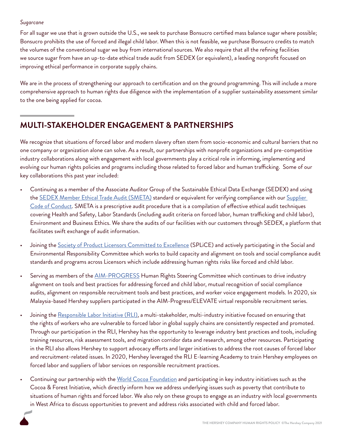#### *Sugarcane*

For all sugar we use that is grown outside the U.S., we seek to purchase Bonsucro certified mass balance sugar where possible; Bonsucro prohibits the use of forced and illegal child labor. When this is not feasible, we purchase Bonsucro credits to match the volumes of the conventional sugar we buy from international sources. We also require that all the refining facilities we source sugar from have an up-to-date ethical trade audit from SEDEX (or equivalent), a leading nonprofit focused on improving ethical performance in corporate supply chains.

We are in the process of strengthening our approach to certification and on the ground programming. This will include a more comprehensive approach to human rights due diligence with the implementation of a supplier sustainability assessment similar to the one being applied for cocoa.

### **MULTI-STAKEHOLDER ENGAGEMENT & PARTNERSHIPS**

We recognize that situations of forced labor and modern slavery often stem from socio-economic and cultural barriers that no one company or organization alone can solve. As a result, our partnerships with nonprofit organizations and pre-competitive industry collaborations along with engagement with local governments play a critical role in informing, implementing and evolving our human rights policies and programs including those related to forced labor and human trafficking. Some of our key collaborations this past year included:

- Continuing as a member of the Associate Auditor Group of the Sustainable Ethical Data Exchange (SEDEX) and using the [SEDEX Member Ethical Trade Audit \(SMETA\)](https://www.sedexglobal.com/products-services/smeta-audit/) standard or equivalent for verifying compliance with our Supplier [Code of Conduct.](https://www.thehersheycompany.com/content/dam/corporate-us/documents/partners-and-suppliers/supplier-code-of-conduct.pdf) SMETA is a prescriptive audit procedure that is a compilation of effective ethical audit techniques covering Health and Safety, Labor Standards (including audit criteria on forced labor, human trafficking and child labor), Environment and Business Ethics. We share the audits of our facilities with our customers through SEDEX, a platform that facilitates swift exchange of audit information.
- Joining the [Society of Product Licensors Committed to Excellence](https://www.splicelicensing.com/) (SPLiCE) and actively participating in the Social and Environmental Responsibility Committee which works to build capacity and alignment on tools and social compliance audit standards and programs across Licensors which include addressing human rights risks like forced and child labor.
- Serving as members of the **AIM-PROGRESS** Human Rights Steering Committee which continues to drive industry alignment on tools and best practices for addressing forced and child labor, mutual recognition of social compliance audits, alignment on responsible recruitment tools and best practices, and worker voice engagement models. In 2020, six Malaysia-based Hershey suppliers participated in the AIM-Progress/ELEVATE virtual responsible recruitment series.
- Joining the [Responsible Labor Initiative \(RLI\)](http://www.responsiblebusiness.org/initiatives/rli/), a multi-stakeholder, multi-industry initiative focused on ensuring that the rights of workers who are vulnerable to forced labor in global supply chains are consistently respected and promoted. Through our participation in the RLI, Hershey has the opportunity to leverage industry best practices and tools, including training resources, risk assessment tools, and migration corridor data and research, among other resources. Participating in the RLI also allows Hershey to support advocacy efforts and larger initiatives to address the root causes of forced labor and recruitment-related issues. In 2020, Hershey leveraged the RLI E-learning Academy to train Hershey employees on forced labor and suppliers of labor services on responsible recruitment practices.
- Continuing our partnership with the [World Cocoa Foundation](https://www.worldcocoafoundation.org/) and participating in key industry initiatives such as the Cocoa & Forest Initiative, which directly inform how we address underlying issues such as poverty that contribute to situations of human rights and forced labor. We also rely on these groups to engage as an industry with local governments in West Africa to discuss opportunities to prevent and address risks associated with child and forced labor.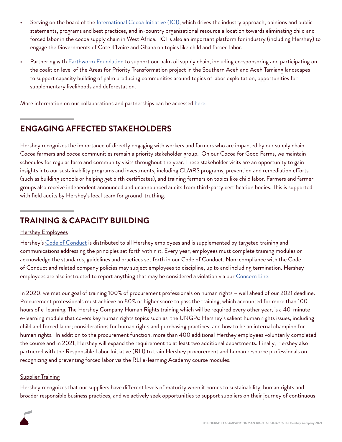- Serving on the board of the *[International Cocoa Initiative \(ICI\)](https://cocoainitiative.org/)*, which drives the industry approach, opinions and public statements, programs and best practices, and in-country organizational resource allocation towards eliminating child and forced labor in the cocoa supply chain in West Africa. ICI is also an important platform for industry (including Hershey) to engage the Governments of Cote d'Ivoire and Ghana on topics like child and forced labor.
- Partnering with **Earthworm Foundation** to support our palm oil supply chain, including co-sponsoring and participating on the coalition level of the Areas for Priority Transformation project in the Southern Aceh and Aceh Tamiang landscapes to support capacity building of palm producing communities around topics of labor exploitation, opportunities for supplementary livelihoods and deforestation.

More information on our collaborations and partnerships can be accessed [here.](https://www.thehersheycompany.com/en_us/sustainability/shared-business/human-rights/activating-through-partnerships-collaboration.html)

## **ENGAGING AFFECTED STAKEHOLDERS**

Hershey recognizes the importance of directly engaging with workers and farmers who are impacted by our supply chain. Cocoa farmers and cocoa communities remain a priority stakeholder group. On our Cocoa for Good Farms, we maintain schedules for regular farm and community visits throughout the year. These stakeholder visits are an opportunity to gain insights into our sustainability programs and investments, including CLMRS programs, prevention and remediation efforts (such as building schools or helping get birth certificates), and training farmers on topics like child labor. Farmers and farmer groups also receive independent announced and unannounced audits from third-party certification bodies. This is supported with field audits by Hershey's local team for ground-truthing.

## **TRAINING & CAPACITY BUILDING**

#### Hershey Employees

Hershey's [Code of Conduct](https://www.thehersheycompany.com/content/dam/corporate-us/documents/investors/code-of-conduct-english.pdf) is distributed to all Hershey employees and is supplemented by targeted training and communications addressing the principles set forth within it. Every year, employees must complete training modules or acknowledge the standards, guidelines and practices set forth in our Code of Conduct. Non-compliance with the Code of Conduct and related company policies may subject employees to discipline, up to and including termination. Hershey employees are also instructed to report anything that may be considered a violation via our [Concern Line](http://www.hersheysconcern.com/).

In 2020, we met our goal of training 100% of procurement professionals on human rights – well ahead of our 2021 deadline. Procurement professionals must achieve an 80% or higher score to pass the training, which accounted for more than 100 hours of e-learning. The Hershey Company Human Rights training which will be required every other year, is a 40-minute e-learning module that covers key human rights topics such as the UNGPs: Hershey's salient human rights issues, including child and forced labor; considerations for human rights and purchasing practices; and how to be an internal champion for human rights. In addition to the procurement function, more than 400 additional Hershey employees voluntarily completed the course and in 2021, Hershey will expand the requirement to at least two additional departments. Finally, Hershey also partnered with the Responsible Labor Initiative (RLI) to train Hershey procurement and human resource professionals on recognizing and preventing forced labor via the RLI e-learning Academy course modules.

#### **Supplier Training**

Hershey recognizes that our suppliers have different levels of maturity when it comes to sustainability, human rights and broader responsible business practices, and we actively seek opportunities to support suppliers on their journey of continuous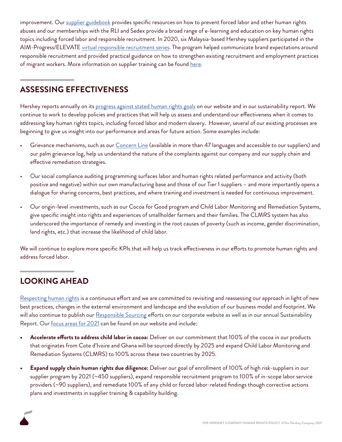improvement. Our [supplier guidebook](https://www.thehersheycompany.com/content/dam/corporate-us/documents/pdf/supplier-program-guidebook-february-2020.pdf) provides specific resources on how to prevent forced labor and other human rights abuses and our memberships with the RLI and Sedex provide a broad range of e-learning and education on key human rights topics including forced labor and responsible recruitment. In 2020, six Malaysia-based Hershey suppliers participated in the AIM-Progress/ELEVATE [virtual responsible recruitment series](https://www.thehersheycompany.com/en_us/sustainability/shared-business/human-rights/embedding-responsible-recruitment-employment.html). The program helped communicate brand expectations around responsible recruitment and provided practical guidance on how to strengthen existing recruitment and employment practices of migrant workers. More information on supplier training can be found [here.](https://www.thehersheycompany.com/en_us/sustainability/shared-business/responsible-sourcing/responsible-sourcing-supplier-program.html)

## **ASSESSING EFFECTIVENESS**

Hershey reports annually on its [progress against stated human rights goals](https://www.thehersheycompany.com/content/dam/corporate-us/documents/pdf/HumanRightsProgress.pdf) on our website and in our sustainability report. We continue to work to develop policies and practices that will help us assess and understand our effectiveness when it comes to addressing key human rights topics, including forced labor and modern slavery. However, several of our existing processes are beginning to give us insight into our performance and areas for future action. Some examples include:

- Grievance mechanisms, such as our *[Concern Line](http://www.hersheysconcern.com/)* (available in more than 47 languages and accessible to our suppliers) and our palm grievance log, help us understand the nature of the complaints against our company and our supply chain and effective remediation strategies.
- Our social compliance auditing programming surfaces labor and human rights related performance and activity (both positive and negative) within our own manufacturing base and those of our Tier 1 suppliers – and more importantly opens a dialogue for sharing concerns, best practices, and where training and investment is needed for continuous improvement.
- Our origin-level investments, such as our Cocoa for Good program and Child Labor Monitoring and Remediation Systems, give specific insight into rights and experiences of smallholder farmers and their families. The CLMRS system has also underscored the importance of remedy and investing in the root causes of poverty (such as income, gender discrimination, land rights, etc.) that increase the likelihood of child labor.

We will continue to explore more specific KPIs that will help us track effectiveness in our efforts to promote human rights and address forced labor.

## **LOOKING AHEAD**

[Respecting human rights](https://www.thehersheycompany.com/en_us/sustainability/shared-business/human-rights.html) is a continuous effort and we are committed to revisiting and reassessing our approach in light of new best practices, changes in the external environment and landscape and the evolution of our business model and footprint. We will also continue to publish our [Responsible Sourcing](https://www.thehersheycompany.com/en_us/sustainability/shared-business/responsible-sourcing.html) efforts on our corporate website as well as in our annual Sustainability Report. Our [focus areas for 2021](https://www.thehersheycompany.com/content/dam/corporate-us/documents/pdf/HumanRightsProgress.pdf) can be found on our website and include:

- **• Accelerate efforts to address child labor in cocoa:** Deliver on our commitment that 100% of the cocoa in our products that originates from Cote d'Ivoire and Ghana will be sourced directly by 2025 and expand Child Labor Monitoring and Remediation Systems (CLMRS) to 100% across these two countries by 2025.
- **• Expand supply chain human rights due diligence:** Deliver our goal of enrollment of 100% of high risk-suppliers in our supplier program by 2021 (~450 suppliers), expand responsible recruitment program to 100% of in-scope labor service providers (~90 suppliers), and remediate 100% of any child or forced labor-related findings though corrective actions plans and investments in supplier training & capability building.